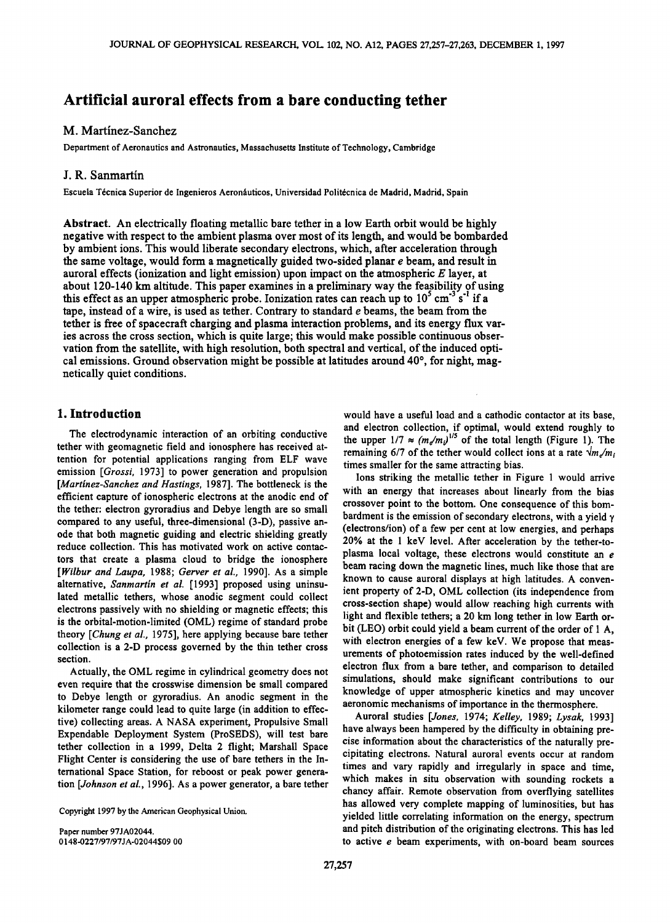# **Artificial auroral effects from a bare conducting tether**

# **M. Martinez-Sanchez**

**Department of Aeronautics and Astronautics, Massachusetts Institute of Technology, Cambridge** 

## **J. R. Sanmartin**

Escuela Técnica Superior de Ingenieros Aeronáuticos, Universidad Politécnica de Madrid, Madrid, Spain

**Abstract. An electrically floating metallic bare tether in a low Earth orbit would be highly negative with respect to the ambient plasma over most of its length, and would be bombarded by ambient ions. This would liberate secondary electrons, which, after acceleration through the same voltage, would form a magnetically guided two-sided planar e beam, and result in auroral effects (ionization and light emission) upon impact on the atmospheric E layer, at**  about 120-140 km altitude. This paper examines in a preliminary way the feasibility of using this effect as an upper atmospheric probe. Ionization rates can reach up to  $10^{\circ}$  cm<sup>-3</sup> s<sup>-1</sup> if a **tape, instead of a wire, is used as tether. Contrary to standard e beams, the beam from the tether is free of spacecraft charging and plasma interaction problems, and its energy flux varies across the cross section, which is quite large; this would make possible continuous observation from the satellite, with high resolution, both spectral and vertical, of the induced opti**cal emissions. Ground observation might be possible at latitudes around 40°, for night, mag**netically quiet conditions.** 

## **1. Introduction**

**The electrodynamic interaction of an orbiting conductive tether with geomagnetic field and ionosphere has received attention for potential applications ranging from ELF wave emission [Grossi, 1973] to power generation and propulsion [Martinez-Sanchez and Hastings, 1987]. The bottleneck is the efficient capture of ionospheric electrons at the anodic end of the tether: electron gyroradius and Debye length are so small compared to any useful, three-dimensional (3-D), passive anode that both magnetic guiding and electric shielding greatly reduce collection. This has motivated work on active contactors that create a plasma cloud to bridge the ionosphere [Wilbur and Laupa, 1988; Gerver et al., 1990]. As a simple alternative, Sanmartin et al. [1993] proposed using uninsulated metallic tethers, whose anodic segment could collect electrons passively with no shielding or magnetic effects; this is the orbital-motion-limited (OML) regime of standard probe theory [Chung et al., 1975], here applying because bare tether collection is a 2-D process governed by the thin tether cross section.** 

**Actually, the OML regime in cylindrical geometry does not even require that the crosswise dimension be small compared to Debye length or gyroradius. An anodic segment in the kilometer range could lead to quite large (in addition to effective) collecting areas. A NASA experiment, Propulsive Small Expendable Deployment System (ProSEDS), will test bare tether collection in a 1999, Delta 2 flight; Marshall Space Flight Center is considering the use of bare tethers in the International Space Station, for reboost or peak power generation [Johnson et al., 1996]. As a power generator, a bare tether** 

**Copyright 1997 by the American Geophysical Union.** 

**Paper number 97JA02044. 0148-0227/97/97JA-02044509.00**  **would have a useful load and a cathodic contactor at its base, and electron collection, if optimal, would extend roughly to**  the upper  $1/7 \approx (m_e/m_i)^{1/5}$  of the total length (Figure 1). The **remaining 6/7 of the tether would collect ions at a rate**  $\sqrt{m_a/m_i}$ **times smaller for the same attracting bias.** 

**Ions striking the metallic tether in Figure 1 would arrive with an energy that increases about linearly from the bias crossover point to the bottom. One consequence of this bombardment is the emission of secondary electrons, with a yield ¾ (electrons/ion) ofa few per cent at low energies, and perhaps 20% at the 1 keV level. After acceleration by the tether-toplasma local voltage, these electrons would constitute an e beam racing down the magnetic lines, much like those that are known to cause auroral displays at high latitudes. A convenient property of 2-D, OML collection (its independence from cross-section shape) would allow reaching high currents with light and flexible tethers; a 20 km long tether in low Earth orbit (LEO) orbit could yield a beam current of the order of 1 A, with electron energies of a few keV. We propose that measurements of photoemission rates induced by the well-defined electron flux from a bare tether, and comparison to detailed simulations, should make significant contributions to our knowledge of upper atmospheric kinetics and may uncover aeronomic mechanisms of importance in the thermosphere.** 

**Auroral studies [Jones, 1974; Kelley, 1989; Lysak, 1993] have always been hampered by the difficulty in obtaining precise information about the characteristics of the naturally precipitating electrons. Natural auroral events occur at random times and vary rapidly and irregularly in space and time, which makes in situ observation with sounding rockets a chancy affair. Remote observation from overflying satellites has allowed very complete mapping of luminosities, but has yielded little correlating information on the energy, spectrum and pitch distribution of the originating electrons. This has led to active e beam experiments, with on-board beam sources**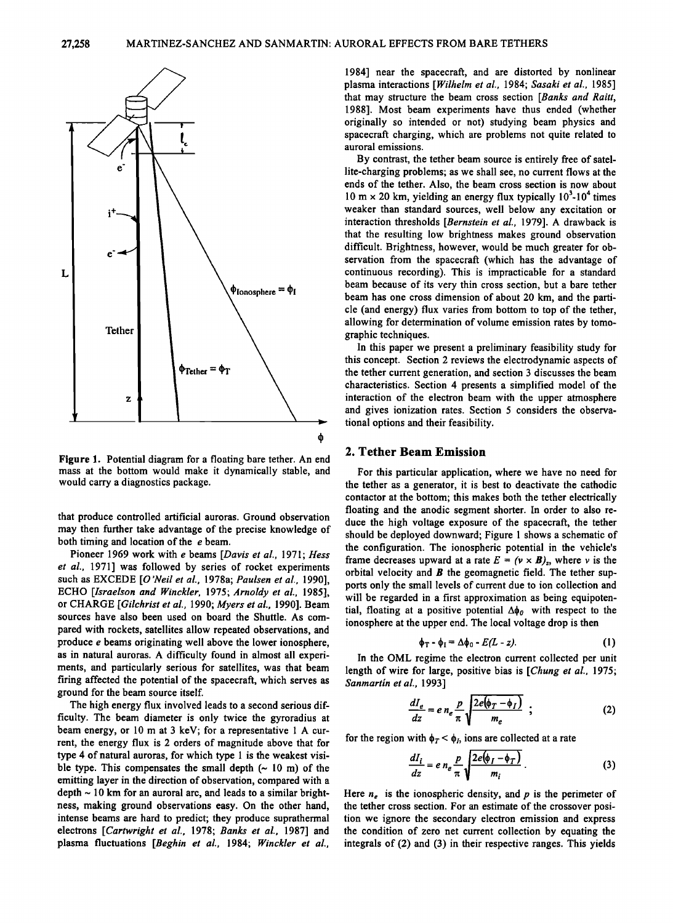

**Figure 1. Potential diagram for a floating bare tether. An end mass at the bottom would make it dynamically stable, and would carry a diagnostics package.** 

that produce controlled artificial auroras. Ground observation **may then further take advantage of the precise knowledge of both timing and location of the e beam.** 

**Pioneer 1969 work with e beams [Davis et al., 1971; Hess et al., 1971] was followed by series of rocket experiments such as EXCEDE [O'Neil et al., 1978a; Paulsen et al., 1990], ECHO [Israelson and Winckler, 1975; Arnoldy et al., 1985], or CHARGE [Gilchrist et al., 1990; Myers et al., 1990]. Beam sources have also been used on board the Shuttle. As compared with rockets, satellites allow repeated observations, and produce e beams originating well above the lower ionosphere, as in natural auroras. A difficulty found in almost all experiments, and particularly serious for satellites, was that beam firing affected the potential of the spacecraft, which serves as ground for the beam source itself.** 

**The high energy flux involved leads to a second serious difficulty. The beam diameter is only twice the gyroradius at beam energy, or 10 m at 3 keV; for a representative 1 A current, the energy flux is 2 orders of magnitude above that for type 4 of natural auroras, for which type 1 is the weakest visi**ble type. This compensates the small depth  $(~ 10 \text{ m})$  of the **emitting layer in the direction of observation, compared with a depth ~ 10 km for an auroral arc, and leads to a similar brightness, making ground observations easy. On the other hand, intense beams are hard to predict; they produce suprathermal electrons [Cartwright et al., 1978; Banks et al., 1987] and plasma fluctuations [Beghin et al., 1984; Winckler et al.,** 

**1984] near the spacecraft, and are distorted by nonlinear plasma interactions [Wilhelm et al., 1984; Sasaki et al., 1985] that may structure the beam cross section [Banks and Raitt, 1988]. Most beam experiments have thus ended (whether originally so intended or not) studying beam physics and spacecraft charging, which are problems not quite related to auroral emissions.** 

**By contrast, the tether beam source is entirely free of satellite-charging problems; as we shall see, no current flows at the ends of the tether. Also, the beam cross section is now about**  10 m  $\times$  20 km, yielding an energy flux typically  $10<sup>3</sup>$ -10<sup>4</sup> times **weaker than standard sources, well below any excitation or interaction thresholds [Bernstein et al., 1979]. A drawback is that the resulting low brightness makes ground observation difficult. Brightness, however, would be much greater for observation from the spacecraft (which has the advantage of continuous recording). This is impracticable for a standard beam because of its very thin cross section, but a bare tether beam has one cross dimension of about 20 km, and the particle (and energy) flux varies from bottom to top of the tether, allowing for determination of volume emission rates by tomographic techniques.** 

**In this paper we present a preliminary feasibility study for this concept. Section 2 reviews the electrodynamic aspects of the tether current generation, and section 3 discusses the beam characteristics. Section 4 presents a simplified model of the interaction of the electron beam with the upper atmosphere and gives ionization rates. Section 5 considers the observational options and their feasibility.** 

## **2. Tether Beam Emission**

**For this particular application, where we have no need for the tether as a generator, it is best to deactivate the cathodic contactor at the bottom; this makes both the tether electrically floating and the anodic segment shorter. In order to also reduce the high voltage exposure of the spacecraft, the tether should be deployed downward; Figure 1 shows a schematic of the configuration. The ionospheric potential in the vehicle's**  frame decreases upward at a rate  $E = (\nu \times B)_z$ , where v is the **orbital velocity and B the geomagnetic field. The tether supports only the small levels of current due to ion collection and will be regarded in a first approximation as being equipoten**tial, floating at a positive potential  $\Delta \phi_0$  with respect to the **ionosphere at the upper end. The local voltage drop is then** 

$$
\phi_T - \phi_I = \Delta \phi_0 - E(L - z). \tag{1}
$$

**In the OML regime the electron current collected per unit length of wire for large, positive bias is [Chung et al., 1975; Sanmartín et al., 1993]** 

$$
\frac{dI_e}{dz} = e n_e \frac{p}{\pi} \sqrt{\frac{2e(\phi_T - \phi_I)}{m_e}} \quad ; \tag{2}
$$

for the region with  $\phi_T < \phi_I$ , ions are collected at a rate

$$
\frac{dI_i}{dz} = e n_e \frac{p}{\pi} \sqrt{\frac{2e(\phi_I - \phi_T)}{m_i}}.
$$
 (3)

Here  $n_e$  is the ionospheric density, and  $p$  is the perimeter of **the tether cross section. For an estimate of the crossover position we ignore the secondary electron emission and express the condition of zero net current collection by equating the integrals of (2) and (3) in their respective ranges. This yields**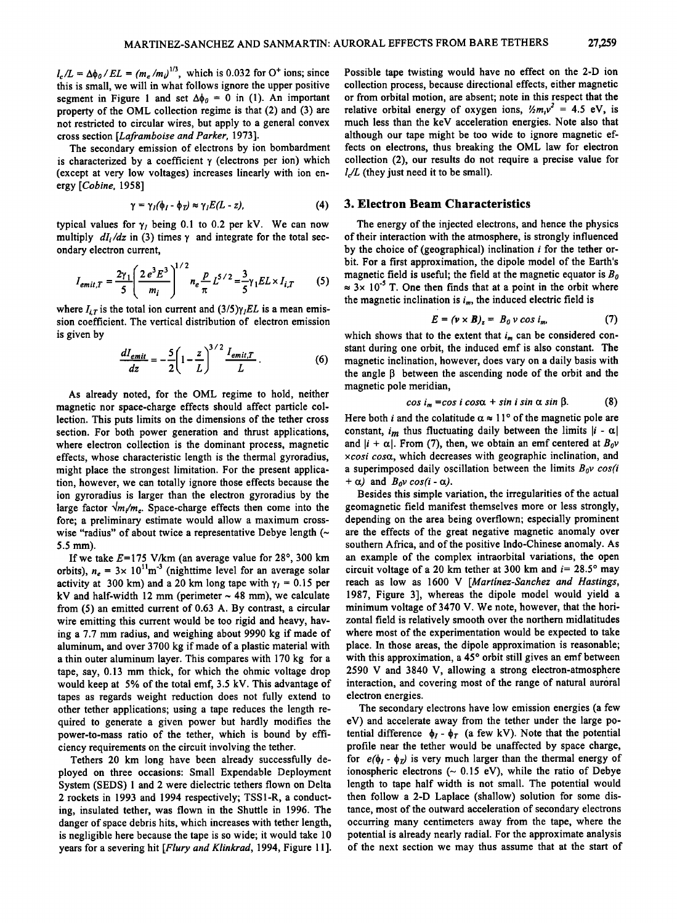$l_c/L = \Delta\phi_0/EL = (m_e/m_b)^{1/3}$ , which is 0.032 for O<sup>+</sup> ions; since **this is small, we will in what follows ignore the upper positive**  segment in Figure 1 and set  $\Delta\phi_0 = 0$  in (1). An important **property of the OML collection regime is that (2) and (3) are not restricted to circular wires, but apply to a general convex**  cross section [Laframboise and Parker, 1973].

**The secondary emission of electrons by ion bombardment**  is characterized by a coefficient  $\gamma$  (electrons per ion) which **(except at very low voltages) increases linearly with ion energy [Cobine, 1958]** 

$$
\gamma = \gamma_I(\phi_I - \phi_{\overline{I}}) \approx \gamma_I E(L - z), \qquad (4)
$$

typical values for  $\gamma_I$  being 0.1 to 0.2 per kV. We can now multiply  $dI_i/dz$  in (3) times  $\gamma$  and integrate for the total sec**ondary electron current,** 

$$
I_{emit,T} = \frac{2\gamma_1}{5} \left( \frac{2e^3E^3}{m_i} \right)^{1/2} n_e \frac{p}{\pi} L^{5/2} = \frac{3}{5} \gamma_1 EL \times I_{i,T}
$$
 (5)

where  $I_{i,T}$  is the total ion current and  $(3/5)\gamma_{i}EL$  is a mean emis**sion coefficient. The vertical distribution of electron emission is given by** 

$$
\frac{dI_{emit}}{dz} = -\frac{5}{2}\left(1 - \frac{z}{L}\right)^{3/2}\frac{I_{emit,T}}{L} \tag{6}
$$

**As already noted, for the OML regime to hold, neither magnetic nor space-charge effects should affect particle collection. This puts limits on the dimensions of the tether cross section. For both power generation and thrust applications, where electron collection is the dominant process, magnetic effects, whose characteristic length is the thermal gyroradius, might place the strongest limitation. For the present application, however, we can totally ignore those effects because the ion gyroradius is larger than the electron gyroradius by the**  large factor  $\sqrt{m_e}$ . Space-charge effects then come into the **fore; a preliminary estimate would allow a maximum crosswise "radius" of about twice a representative Debye length (~ 5.5 ram).** 

If we take  $E = 175$  V/km (an average value for  $28^\circ$ ,  $300$  km orbits),  $n_e = 3 \times 10^{11} \text{m}^{-3}$  (nighttime level for an average solar **activity at 300 km) and a 20 km long tape with**  $\gamma_1 = 0.15$  **per**  $kV$  and half-width 12 mm (perimeter  $\sim$  48 mm), we calculate **from (5) an emitted current of 0.63 A. By contrast, a circular wire emitting this current would be too rigid and heavy, having a 7.7 mm radius, and weighing about 9990 kg if made of aluminum, and over 3700 kg if made of a plastic material with a thin outer aluminum layer. This compares with 170 kg for a tape, say, 0.13 mm thick, for which the ohmic voltage drop would keep at 5% of the total emf, 3.5 kV. This advantage of tapes as regards weight reduction does not fully extend to other tether applications; using a tape reduces the length required to generate a given power but hardly modifies the power-to-mass ratio of the tether, which is bound by efficiency requirements on the circuit involving the tether.** 

**Tethers 20 km long have been already successfully deployed on three occasions: Small Expendable Deployment System (SEDS) 1 and 2 were dielectric tethers flown on Delta 2 rockets in 1993 and 1994 respectively; TSS1-R, a conducting, insulated tether, was flown in the Shuttle in 1996. The danger of space debris hits, which increases with tether length, is negligible here because the tape is so wide; it would take 10 years for a severing hit [Flury and Klinkrad, 1994, Figure 11].**  **Possible tape twisting would have no effect on the 2-D ion collection process, because directional effects, either magnetic or from orbital motion, are absent; note in this respect that the**  relative orbital energy of oxygen ions,  $\frac{1}{2}m_1v^2 = 4.5$  eV, is **much less than the keV acceleration energies. Note also that although our tape might be too wide to ignore magnetic effects on electrons, thus breaking the OML law for electron collection (2), our results do not require a precise value for l/L (they just need it to be small).** 

#### **3. Electron Beam Characteristics**

**The energy of the injected electrons, and hence the physics of their interaction with the atmosphere, is strongly influenced by the choice of (geographical) inclination i for the tether orbit. For a first approximation, the dipole model of the Earth's magnetic field is useful; the field at the magnetic equator is Bo**   $\approx 3 \times 10^{-5}$  T. One then finds that at a point in the orbit where the magnetic inclination is  $i_m$ , the induced electric field is

$$
E = (\nu \times B)_z = B_0 \nu \cos i_m. \tag{7}
$$

which shows that to the extent that  $i_m$  can be considered con**stant during one orbit, the induced emf is also constant. The magnetic inclination, however, does vary on a daily basis with**  the angle  $\beta$  between the ascending node of the orbit and the **magnetic pole meridian,** 

$$
\cos i_m = \cos i \cos \alpha + \sin i \sin \alpha \sin \beta. \tag{8}
$$

Here both *i* and the colatitude  $\alpha \approx 11^{\circ}$  of the magnetic pole are constant,  $i_m$  thus fluctuating daily between the limits  $|i - \alpha|$ and  $|i + \alpha|$ . From (7), then, we obtain an emf centered at  $B_0v$ **xcosi cosot, which decreases with geographic inclination, and**  a superimposed daily oscillation between the limits  $B_0v$  cos(i  $+ \alpha$ ) and  $B_0v \cos(i - \alpha)$ .

**Besides this simple variation, the irregularities of the actual geomagnetic field manifest themselves more or less strongly, depending on the area being overflown; especially prominent are the effects of the great negative magnetic anomaly over southern Africa, and of the positive Indo-Chinese anomaly. As an example of the complex intraorbital variations, the open**  circuit voltage of a 20 km tether at 300 km and  $i = 28.5^{\circ}$  may **reach as low as 1600 V [Martinez-Sanchez and Hastings, 1987, Figure 3], whereas the dipole model would yield a minimum voltage of 3470 V. We note, however, that the horizontal field is relatively smooth over the northern midlatitudes where most of the experimentation would be expected to take place. In those areas, the dipole approximation is reasonable;**  with this approximation, a 45° orbit still gives an emf between **2590 V and 3840 V, allowing a strong electron-atmosphere**  interaction, and covering most of the range of natural auroral **electron energies.** 

**The secondary electrons have low emission energies (a few eV) and accelerate away from the tether under the large potential difference**  $\phi_I - \phi_T$  (a few kV). Note that the potential **profile near the tether would be unaffected by space charge,**  for  $e(\phi_I - \phi_T)$  is very much larger than the thermal energy of ionospheric electrons  $($   $\sim$  0.15 eV), while the ratio of Debye **length to tape half width is not small. The potential would then follow a 2-D Laplace (shallow) solution for some distance, most of the outward acceleration of secondary electrons occurring many centimeters away from the tape, where the potential is already nearly radial. For the approximate analysis of the next section we may thus assume that at the start of**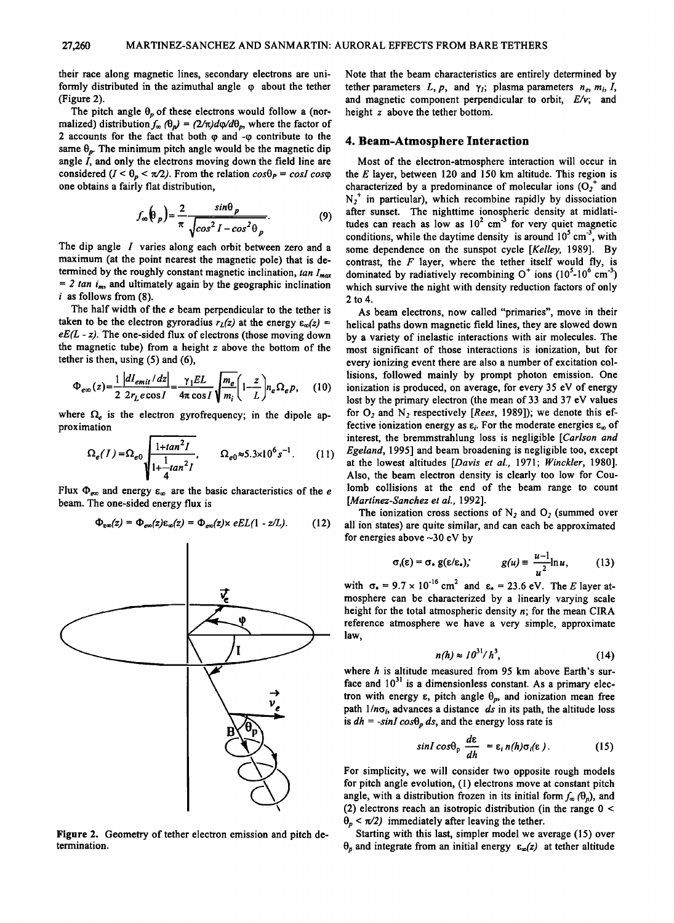**their race along magnetic lines, secondary electrons are uni**formly distributed in the azimuthal angle  $\varphi$  about the tether **(Figure 2).** 

The pitch angle  $\theta_p$  of these electrons would follow a (nor**malized)** distribution  $f_{\infty}(\theta_p) = (2/\pi)d\phi/d\theta_p$ , where the factor of **2 accounts for the fact that both q• and -q• contribute to the**  same  $\theta_p$ . The minimum pitch angle would be the magnetic dip **angle I, and only the electrons moving down the field line are**  considered  $(I < \theta_p < \pi/2)$ . From the relation  $cos\theta_P = cosI cos\varphi$ **one obtains a fairly flat distribution,** 

$$
f_{\infty}(\theta_p) = \frac{2}{\pi} \frac{\sin \theta_p}{\sqrt{\cos^2 I - \cos^2 \theta_p}}.
$$
 (9)  $\frac{a}{t}$ 

**The dip angle I varies along each orbit between zero and a**  maximum (at the point nearest the magnetic pole) that is determined by the roughly constant magnetic inclination,  $tan I_{max}$  $= 2 \tan i_m$ , and ultimately again by the geographic inclination **i as follows from (8).** 

**The half width of the e beam perpendicular to the tether is**  taken to be the electron gyroradius  $r_L(z)$  at the energy  $\varepsilon_{\infty}(z)$  = **eE(L - z). The one-sided flux of electrons (those moving down the magnetic tube) from a height z above the bottom of the tether is then, using (5) and (6),** 

$$
\Phi_{e\infty}(z) = \frac{1}{2} \frac{|dI_{emit}/dz|}{2 r_L e \cos I} = \frac{\gamma_1 EL}{4\pi \cos I} \sqrt{\frac{m_e}{m_i}} \left(1 - \frac{z}{L}\right) n_e \Omega_e p, \quad (10) \quad \begin{array}{c} \text{lisions, } f \\ \text{ionization} \end{array}
$$

where  $\Omega_e$  is the electron gyrofrequency; in the dipole ap**proximation** 

$$
\Omega_e(I) = \Omega_{e0} \sqrt{\frac{1 + \tan^2 I}{1 + \frac{1}{4} \tan^2 I}} , \qquad \Omega_{e0} \approx 5.3 \times 10^6 s^{-1} . \tag{11} \quad \begin{array}{c} \text{int} \\ \text{g} \\ \text{at} \\ \text{Al} \end{array}
$$

Flux  $\Phi_{\epsilon\omega}$  and energy  $\epsilon_{\omega}$  are the basic characteristics of the *e* **beam. The one-sided energy flux is** 

$$
\Phi_{\text{em}}(z) = \Phi_{\text{em}}(z)\varepsilon_{\text{em}}(z) = \Phi_{\text{em}}(z) \times eEL(1 - z/L). \tag{12}
$$



**Figure 2. Geometry of tether electron emission and pitch determination.** 

**Note that the beam characteristics are entirely determined by**  tether parameters  $L$ ,  $p$ , and  $\gamma_i$ ; plasma parameters  $n_e$ ,  $m_i$ ,  $I$ , **and magnetic component perpendicular to orbit, E/v; and height z above the tether bottom.** 

#### **4. Beam-Atmosphere Interaction**

**Most of the electron-atmosphere interaction will occur in the E layer, between 120 and 150 km altitude. This region is**  characterized by a predominance of molecular ions  $(O_2^+$  and  $N_2^+$  in particular), which recombine rapidly by dissociation **after sunset. The nighttime ionospheric density at midlati**tudes can reach as low as  $10^2$  cm<sup>-3</sup> for very quiet magnetic conditions, while the daytime density is around 10<sup>5</sup> cm<sup>-3</sup>, with **some dependence on the sunspot cycle [Kelley, 1989]. By contrast, the F layer, where the tether itself would fly, is**  dominated by radiatively recombining  $O^+$  ions  $(10^3 \text{-} 10^6 \text{ cm}^3)$ **which survive the night with density reduction factors of only 2to4.** 

**As beam electrons, now called "primaries", move in their helical paths down magnetic field lines, they are slowed down by a variety of inelastic interactions with air molecules. The most significant of those interactions is ionization, but for every ionizing event there are also a number of excitation collisions, followed mainly by prompt photon emission. One ionization is produced, on average, for every 35 eV of energy lost by the primary electron (the mean of 33 and 37 eV values**  for O<sub>2</sub> and N<sub>2</sub> respectively [*Rees*, 1989]); we denote this effective ionization energy as  $\varepsilon_i$ . For the moderate energies  $\varepsilon_{\infty}$  of **interest, the bremmstrahlung loss is negligible [Carlson and Egeland, 1995] and beam broadening is negligible too, except at the lowest altitudes [Davis et al., 1971; Winckler, 1980]. Also, the beam electron density is clearly too low for Coulomb collisions at the end of the beam range to count [Martinez-Sanchez et al., 1992].** 

The ionization cross sections of  $N_2$  and  $O_2$  (summed over **all ion states) are quite similar, and can each be approximated for energies above-30 eV by** 

$$
\sigma_1(\varepsilon) = \sigma_* g(\varepsilon/\varepsilon_*); \qquad g(u) = \frac{u-1}{u^2} \ln u, \qquad (13)
$$

with  $\sigma_{\bullet} = 9.7 \times 10^{-16}$  cm<sup>2</sup> and  $\varepsilon_{\bullet} = 23.6$  eV. The *E* layer at-**• mosphere can be characterized by a linearly varying scale height for the total atmospheric density n; for the mean CIRA reference atmosphere we have a very simple, approximate law,** 

$$
n(h) \approx 10^{31}/h^3,\tag{14}
$$

**where h is altitude measured from 95 km above Earth's sur**face and  $10^{31}$  is a dimensionless constant. As a primary elec**tron with energy**  $\varepsilon$ **, pitch angle**  $\theta_p$ **, and ionization mean free** path  $1/n\sigma_i$ , advances a distance ds in its path, the altitude loss is  $dh = -\sin I \cos\theta_p ds$ , and the energy loss rate is

$$
\sin I \cos \theta_p \frac{d\epsilon}{dh} = \epsilon_i n(h) \sigma_i(\epsilon). \qquad (15)
$$

**For simplicity, we will consider two opposite rough models for pitch angle evolution, (1) electrons move at constant pitch**  angle, with a distribution frozen in its initial form  $f_{\infty}(\theta_p)$ , and **(2) electrons reach an isotropic distribution (in the range 0 <**   $\theta_p < \pi/2$ ) immediately after leaving the tether.

**Starting with this last, simpler model we average (15) over**   $\theta_p$  and integrate from an initial energy  $\varepsilon_{\infty}(z)$  at tether altitude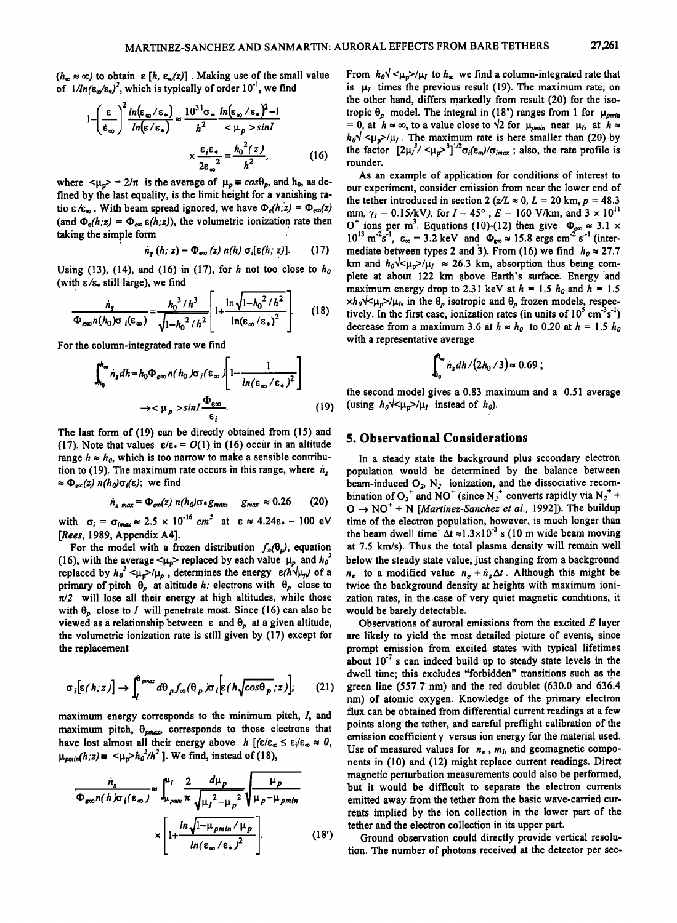$(h_{\infty} \approx \infty)$  to obtain  $\varepsilon$  [h,  $\varepsilon_{\infty}(z)$ ]. Making use of the small value of  $1/ln(\epsilon_{\alpha}/\epsilon_*)^2$ , which is typically of order  $10^{-1}$ , we find

$$
1 - \left(\frac{\varepsilon}{\varepsilon_{\infty}}\right)^{2} \frac{\ln(\varepsilon_{\infty}/\varepsilon_{\ast})}{\ln(\varepsilon/\varepsilon_{\ast})} \approx \frac{10^{31} \sigma_{\ast}}{h^{2}} \frac{\ln(\varepsilon_{\infty}/\varepsilon_{\ast})^{2} - 1}{\varepsilon \mu_{p} > \sin I} \qquad \text{tropic } \theta_{p} \text{ model} = 0, \text{ at } h \approx \infty, \text{ to } \theta_{p} \text{ model} = 0, \text{ at } h \approx \infty, \text{ to } \theta_{p} \text{ model} = 0, \text{ at } h \approx \infty, \text{ to } \theta_{p} \text{ model} = 0, \text{ at } h \approx \infty, \text{ to } \theta_{p} \text{ model} = 0, \text{ at } h \approx \infty, \text{ to } \theta_{p} \text{ model} = 0, \text{ at } h \approx \infty, \text{ to } \theta_{p} \text{ model} = 0, \text{ at } h \approx \infty, \text{ to } \theta_{p} \text{ model} = 0, \text{ at } h \approx \infty, \text{ to } \theta_{p} \text{ model} = 0, \text{ at } h \approx \infty, \text{ to } \theta_{p} \text{ model} = 0, \text{ at } h \approx \infty, \text{ to } \theta_{p} \text{ model} = 0, \text{ at } h \approx \infty, \text{ to } \theta_{p} \text{ model} = 0, \text{ at } h \approx \infty, \text{ to } \theta_{p} \text{ model} = 0, \text{ at } h \approx \infty, \text{ to } \theta_{p} \text{ model} = 0, \text{ at } h \approx \infty, \text{ to } \theta_{p} \text{ model} = 0, \text{ at } h \approx \infty, \text{ to } \theta_{p} \text{ model} = 0, \text{ at } h \approx \infty, \text{ to } \theta_{p} \text{ model} = 0, \text{ at } h \approx \infty, \text{ to } \theta_{p} \text{ model} = 0, \text{ at } h \approx \infty, \text{ to } \theta_{p} \text{ model} = 0, \text{ at } h \approx \infty, \text{ to } \theta_{p} \text{ model} = 0, \text{ at } h \approx \infty, \text{ to } \theta_{
$$

where  $\langle \mu_{p} \rangle = 2/\pi$  is the average of  $\mu_{p} \equiv cos \theta_{p}$ , and h<sub>0</sub>, as de**fined by the last equality, is the limit height for a vanishing ra**tio  $\epsilon/\epsilon_{\infty}$ . With beam spread ignored, we have  $\Phi_{\epsilon}(h,z) = \Phi_{\epsilon \infty}(z)$ (and  $\Phi_{\rm g}(h;z) = \Phi_{\rm em} \varepsilon(h;z)$ ), the volumetric ionization rate then taking the simple form

$$
\dot{n}_s(h; z) = \Phi_{\text{evo}}(z) n(h) \sigma_i[\varepsilon(h; z)]. \qquad (17)
$$

Using (13), (14), and (16) in (17), for  $h$  not too close to  $h_0$ (with ε/ε. still large), we find

$$
\frac{\dot{n}_s}{\Phi_{\epsilon\infty}n(h_0)\sigma_i(\epsilon_{\infty})} = \frac{h_0^{3}/h^3}{\sqrt{1-h_0^{2}/h^2}} \left[1 + \frac{\ln\sqrt{1-h_0^{2}/h^2}}{\ln(\epsilon_{\infty}/\epsilon_*)^2}\right].
$$
\n(18)  $\frac{\times h_0 \sqrt{\epsilon_{\mu}}\gamma/\mu_i}{\text{tively. In the first case, i}} = \frac{h_0 \sqrt{\epsilon_{\mu}}}{\sqrt{1-\epsilon_{\mu}}}$ 

**For the column-integrated rate we find** 

$$
\int_{h_0}^{h_{\infty}} \dot{n}_s dh = h_0 \Phi_{\varepsilon\infty} n(h_0) \sigma_i(\varepsilon_{\infty}) \left[ 1 - \frac{1}{\ln(\varepsilon_{\infty}/\varepsilon_{\ast})^2} \right]
$$
  

$$
\to <\mu_p > \sin I \frac{\Phi_{\varepsilon\infty}}{\varepsilon_i}.
$$
 (19)

The last form of (19) can be directly obtained from (15) and (17). Note that values  $\varepsilon/\varepsilon = O(1)$  in (16) occur in an altitude range  $h \approx h_0$ , which is too narrow to make a sensible contribution to (19). The maximum rate occurs in this range, where  $\dot{n}_s$  $\approx \Phi_{\text{ext}}(z) n(h_0)\sigma_i(\epsilon)$ ; we find

$$
\dot{n}_{s \text{ max}} = \Phi_{\text{exc}}(z) \; n(h_0) \sigma \cdot g_{\text{max}} \quad g_{\text{max}} \approx 0.26 \qquad (20)
$$

with  $\sigma_i = \sigma_{imax} \approx 2.5 \times 10^{-16}$  cm<sup>2</sup> at  $\epsilon \approx 4.24\epsilon_* \sim 100$  eV **IRees, 1989, Appendix A4].** 

For the model with a frozen distribution  $f_{\infty}(\theta_p)$ , equation (16), with the average  $\lt \mu_p$  replaced by each value  $\mu_p$  and  $h_o^2$ **replaced by**  $h_0^2 < \mu_p > \mu_p$ **, determines the energy**  $\epsilon (h \psi_\mu)$  **of a primary of pitch**  $\theta_p$  **at altitude h; electrons with**  $\theta_p$  **close to**  $\pi/2$  will lose all their energy at high altitudes, while those with  $\theta_p$  close to *I* will penetrate most. Since (16) can also be **viewed as a relationship between**  $\varepsilon$  **and**  $\theta_p$  **at a given altitude, the volumetric ionization rate is still given by (17) except for the replacement** 

$$
\sigma_i[\varepsilon(h;z)] \to \int_I^{\theta_{pmax}} d\theta_p f_{\infty}(\theta_p) \sigma_i[\varepsilon(h\sqrt{\cos\theta_p},z)], \qquad (21)
$$

**maximum energy corresponds to the minimum pitch, I, and**  maximum pitch,  $\theta_{\text{max}}$  corresponds to those electrons that have lost almost all their energy above  $h$   $[(\varepsilon/\varepsilon_{\infty} \leq \varepsilon/\varepsilon_{\infty} \approx 0,$  $\mu_{\text{pmin}}(h, z) = \frac{\mu_0 - h_0^2}{h^2}$ . We find, instead of (18),

$$
\frac{n_s}{\Phi_{\epsilon\infty}n(h)\sigma_i(\epsilon_{\infty})} \approx \int_{\mu_{pmin}}^{\mu_I} \frac{2}{\pi} \frac{d\mu_p}{\sqrt{\mu_I^2 - \mu_p^2}} \sqrt{\frac{\mu_p}{\mu_p - \mu_{pmin}}} \qquad \text{but}
$$
\n
$$
\times \left[1 + \frac{\ln\sqrt{1 - \mu_{pmin} / \mu_p}}{\ln(\epsilon_{\infty}/\epsilon_*)^2}\right] \qquad (18')
$$
\n
$$
\text{teth} \qquad \text{to}
$$
\n
$$
\text{to}
$$

From  $h_0 \sqrt{\frac{\mu_0}{\mu_1}}$  to  $h_{\infty}$  we find a column-integrated rate that is  $\mu_I$  times the previous result (19). The maximum rate, on **the other hand, differs markedly from result (20) for the isotropic**  $\theta_p$  **model. The integral in (18') ranges from 1 for**  $\mu_{\text{min}}$ = 0, at  $h \approx \infty$ , to a value close to  $\sqrt{2}$  for  $\mu_{pmin}$  near  $\mu_I$ , at  $h \approx$  $h_0 \sqrt{\langle \mu_{\mathbf{p}} \rangle / \mu_I}$ . The maximum rate is here smaller than (20) by the factor  $[2\mu_I^3/<\mu_{\sigma}^3]^{1/2}\sigma_i(\epsilon_{\omega})/\sigma_{imax}$ ; also, the rate profile is **rounder.** 

**As an example of application for conditions of interest to our experiment, consider emission from near the lower end of**  the tether introduced in section 2 ( $z/L \approx 0$ ,  $L = 20$  km,  $p = 48.3$ mm,  $\gamma_l = 0.15/kV$ ), for  $I = 45^\circ$ ,  $E = 160$  V/km, and  $3 \times 10^{11}$ O<sup>r</sup> ions per m<sup>3</sup>. Equations (10)-(12) then give  $\Phi_{\text{gas}} \approx 3.1 \times$  $10^{13}$  m<sup>-2</sup>s<sup>-1</sup>,  $\varepsilon_{\infty} = 3.2$  keV and  $\Phi_{\varepsilon_{\infty}} \approx 15.8$  ergs cm<sup>-2</sup> s<sup>-1</sup> (intermediate between types 2 and 3). From (16) we find  $h_0 \approx 27.7$ km and  $h_0 \sqrt{\mu_0} / \mu_1 \approx 26.3$  km, absorption thus being complete at about 122 km above Earth's surface. Energy and maximum energy drop to 2.31 keV at  $h = 1.5 h_0$  and  $h = 1.5$  $xh_0\sqrt{\langle \mu_p \rangle}/\mu_l$ , in the  $\theta_p$  isotropic and  $\theta_p$  frozen models, respectively. In the first case, ionization rates (in units of  $10^5$  cm<sup>-3</sup>s<sup>-1</sup>) decrease from a maximum 3.6 at  $h \approx h_0$  to 0.20 at  $h = 1.5 h_0$ **with a representative average** 

$$
\int_{h_0}^{h_\infty} \dot{n}_s dh / (2h_0 / 3) \approx 0.69 ;
$$

**the second model gives a 0.83 maximum and a 0.51 average**  (using  $h_0 \sqrt{\frac{\mu_v}{\mu}} / \mu_l$  instead of  $h_0$ ).

# **5. Observational Considerations**

**In a steady state the background plus secondary electron population would be determined by the balance between**  beam-induced O<sub>2</sub>, N<sub>2</sub> ionization, and the dissociative recombination of  $O_2^+$  and NO<sup>+</sup> (since N<sub>2</sub><sup>+</sup> converts rapidly via N<sub>2</sub><sup>+</sup> +  $O \rightarrow NO^{+} + N$  [*Martinez-Sanchez et al.*, 1992]). The buildup **time of the electron population, however, is much longer than**  the beam dwell time  $\Delta t \approx 1.3 \times 10^{-3}$  s (10 m wide beam moving **at 7.5 km/s). Thus the total plasma density will remain well below the steady state value, just changing from a background**   $n_e$  to a modified value  $n_e + n_s \Delta t$ . Although this might be **twice the background density at heights with maximum ionization rates, in the case of very quiet magnetic conditions, it would be barely detectable.** 

 $\sigma_i[\varepsilon(h;z)] \to \int_I^{\rho max} d\theta_p f_\infty(\theta_p) \sigma_i[\varepsilon(h\sqrt{\cos\theta_p},z)]$ ; (21) green line (557.7 nm) and the red doublet (630.0 and 636.4 nm) of atomic oxygen. Knowledge of the primary electron **Observations of auroral emissions from the excited E layer are likely to yield the most detailed picture of events, since prompt emission from excited states with typical lifetimes**  about 10<sup>-7</sup> s can indeed build up to steady state levels in the **dwell time; this excludes "forbidden" transitions such as the nm) of atomic oxygen. Knowledge of the primary electron flux can be obtained from differential current readings at a few points along the tether, and careful preflight calibration of the emission coefficient ¾ versus ion energy for the material used.**  Use of measured values for  $n_e$ ,  $m_i$ , and geomagnetic compo**nents in (10) and (12) might replace current readings. Direct magnetic perturbation measurements could also be performed, but it would be difficult to separate the electron currents emitted away from the tether from the basic wave-carried currents implied by the ion collection in the lower part of the tether and the electron collection in its upper part.** 

> **Ground observation could directly provide vertical resolution. The number of photons received at the detector per sec-**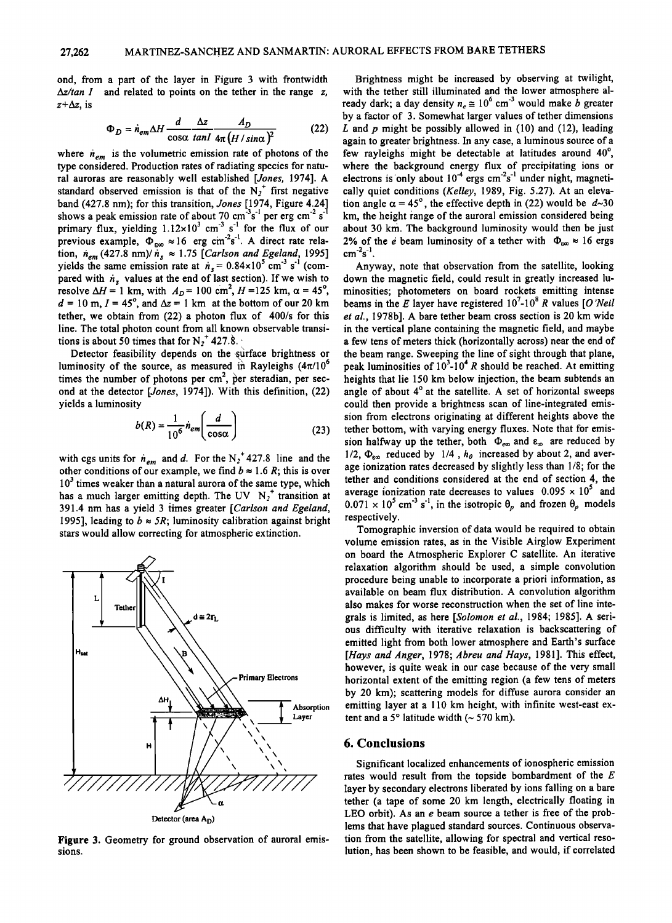**ond, from a part of the layer in Figure 3 with frontwidth Az/tan I and related to points on the tether in the range z,**   $z+\Delta z$ , is

$$
\Phi_D = \dot{n}_{em} \Delta H \frac{d}{\cos \alpha} \frac{\Delta z}{\tan I} \frac{A_D}{4\pi (H/sin\alpha)^2}
$$
(22)

where  $n_{em}$  is the volumetric emission rate of photons of the **type considered. Production rates of radiating species for natural auroras are reasonably well established [Jones, 1974]. A**  standard observed emission is that of the  $N_2$ <sup>+</sup> first negative **band (427.8 nm); for this transition, Jones [1974, Figure 4.24]**  shows a peak emission rate of about 70 cm<sup>-3</sup>s<sup>-1</sup> per erg cm<sup>-2</sup> s<sup>-1</sup> **primary flux, yielding 1.12×10<sup>3</sup> cm<sup>3</sup> s<sup>-1</sup> for the flux of our** previous example,  $\Phi_{\epsilon\infty} \approx 16$  erg cm<sup>-2</sup>s<sup>-1</sup>. A direct rate relation,  $n_{em}$  (427.8 nm)/ $n_s \approx 1.75$  [Carlson and Egeland, 1995] yields the same emission rate at  $n_s = 0.84 \times 10^7$  cm<sup>-3</sup> s<sup>-1</sup> (compared with  $n_s$  values at the end of last section). If we wish to **resolve**  $\Delta H = 1$  km, with  $A_D = 100$  cm<sup>2</sup>,  $H = 125$  km,  $\alpha = 45^{\circ}$ ,  $d = 10$  m,  $I = 45^\circ$ , and  $\Delta z = 1$  km at the bottom of our 20 km **tether, we obtain from (22) a photon flux of 400/s for this line. The total photon count from all known observable transi**tions is about 50 times that for  $N_2^T$  427.8.

**Detector feasibility depends on the surface brightness or**  luminosity of the source, as measured in Rayleighs  $(4\pi/10^{\circ}$ times the number of photons per cm<sup>2</sup>, per steradian, per sec**ond at the detector [Jones, 1974]). With this definition, (22) yields a luminosity** 

$$
b(R) = \frac{1}{10^6} \dot{n}_{em} \left( \frac{d}{\cos \alpha} \right)
$$
 (23)

with cgs units for  $\dot{n}_{em}$  and d. For the N<sub>2</sub><sup>+</sup> 427.8 line and the other conditions of our example, we find  $b \approx 1.6 R$ ; this is over **103 times weaker than a natural aurora of the same type, which**  has a much larger emitting depth. The UV N<sub>2</sub><sup>+</sup> transition at **391.4 nm has a yield 3 times greater [Carlson and Egeland,**  1995], leading to  $b \approx 5R$ ; luminosity calibration against bright **stars would allow correcting for atmospheric extinction.** 



**Figure 3. Geometry for ground observation of auroral emissions.** 

**Brightness might be increased by observing at twilight, with the tether still illuminated and the lower atmosphere al**ready dark; a day density  $n_e \approx 10^6$  cm<sup>-3</sup> would make *b* greater **by a factor of 3. Somewhat larger values of tether dimensions**  L and p might be possibly allowed in (10) and (12), leading **again to greater brightness. In any case, a luminous source of a**  few rayleighs might be detectable at latitudes around 40°, **where the background energy flux of precipitating ions or**  electrons is only about 10<sup>-+</sup> ergs cm<sup>-'</sup>s<sup>-+</sup> under night, magneti**cally quiet conditions (Kelley, 1989, Fig. 5.27). At an eleva**tion angle  $\alpha = 45^\circ$ , the effective depth in (22) would be  $d \sim 30$ km, the height range of the auroral emission considered being **about 30 km. The background luminosity would then be just**  2% of the *e* beam luminosity of a tether with  $\Phi_{\text{so}} \approx 16$  ergs **cm**<sup>-2</sup>s<sup>-1</sup>.

**Anyway, note that observation from the satellite, looking down the magnetic field, could result in greatly increased luminosities; photometers on board rockets emitting intense**  beams in the E layer have registered  $10^7$ -10<sup>8</sup> R values [O'Neil **et al., 1978b]. A bare tether beam cross section is 20 km wide in the vertical plane containing the magnetic field, and maybe a few tens of meters thick (horizontally across) near the end of the beam range. Sweeping the line of sight through that plane, peak luminosities of 10<sup>3</sup>-10<sup>4</sup> R should be reached. At emitting heights that lie 150 km below injection, the beam subtends an**  angle of about 4° at the satellite. A set of horizontal sweeps could then provide a brightness scan of line-integrated emis**sion from electrons originating at different heights above the tether bottom, with varying energy fluxes. Note that for emis**sion halfway up the tether, both  $\Phi_{\text{ex}}$  and  $\epsilon_{\text{ex}}$  are reduced by  $1/2$ ,  $\Phi_{\text{e}\infty}$  reduced by  $1/4$ ,  $h_{0}$  increased by about 2, and aver**age ionization rates decreased by slightly less than 1/8; for the tether and conditions considered at the end of section 4, the**  average ionization rate decreases to values  $0.095 \times 10^5$  and  $0.071 \times 10^5$  cm<sup>-3</sup> s<sup>-1</sup>, in the isotropic  $\theta_p$  and frozen  $\theta_p$  models **respectively.** 

**Tomographic inversion of data would be required to obtain volume emission rates, as in the Visible Airglow Experiment on board the Atmospheric Explorer C satellite. An iterative relaxation algorithm should be used, a simple convolution procedure being unable to incorporate a priori information, as available on beam flux distribution. A convolution algorithm also makes for worse reconstruction when the set of line integrals is limited, as here [Solomon et al., 1984; 1985]. A serious difficulty with iterative relaxation is backscattering of emitted light from both lower atmosphere and Earth's surface [Hays and Anger, 1978; Abreu and Hays, 1981 ]. This effect, however, is quite weak in our case because of the very small horizontal extent of the emitting region (a few tens of meters by 20 km); scattering models for diffuse aurora consider an emitting layer at a 110 km height, with infinite west-east ex**tent and a  $5^\circ$  latitude width  $($   $\sim$  570 km).

## **6. Conclusions**

**Significant localized enhancements of ionospheric emission rates would result from the topside bombardment of the E layer by secondary electrons liberated by ions falling on a bare tether (a tape of some 20 km length, electrically floating in LEO orbit). As an e beam source a tether is free of the problems that have plagued standard sources. Continuous observation from the satellite, allowing for spectral and vertical resolution, has been shown to be feasible, and would, if correlated**